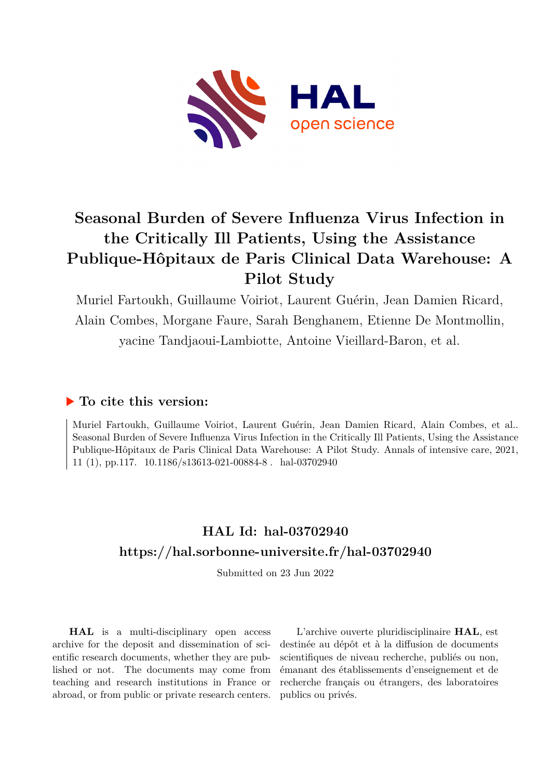

# **Seasonal Burden of Severe Influenza Virus Infection in the Critically Ill Patients, Using the Assistance Publique-Hôpitaux de Paris Clinical Data Warehouse: A Pilot Study**

Muriel Fartoukh, Guillaume Voiriot, Laurent Guérin, Jean Damien Ricard, Alain Combes, Morgane Faure, Sarah Benghanem, Etienne De Montmollin, yacine Tandjaoui-Lambiotte, Antoine Vieillard-Baron, et al.

## **To cite this version:**

Muriel Fartoukh, Guillaume Voiriot, Laurent Guérin, Jean Damien Ricard, Alain Combes, et al.. Seasonal Burden of Severe Influenza Virus Infection in the Critically Ill Patients, Using the Assistance Publique-Hôpitaux de Paris Clinical Data Warehouse: A Pilot Study. Annals of intensive care, 2021, 11 (1), pp.117.  $10.1186/s13613-021-00884-8$ . hal-03702940

# **HAL Id: hal-03702940 <https://hal.sorbonne-universite.fr/hal-03702940>**

Submitted on 23 Jun 2022

**HAL** is a multi-disciplinary open access archive for the deposit and dissemination of scientific research documents, whether they are published or not. The documents may come from teaching and research institutions in France or abroad, or from public or private research centers.

L'archive ouverte pluridisciplinaire **HAL**, est destinée au dépôt et à la diffusion de documents scientifiques de niveau recherche, publiés ou non, émanant des établissements d'enseignement et de recherche français ou étrangers, des laboratoires publics ou privés.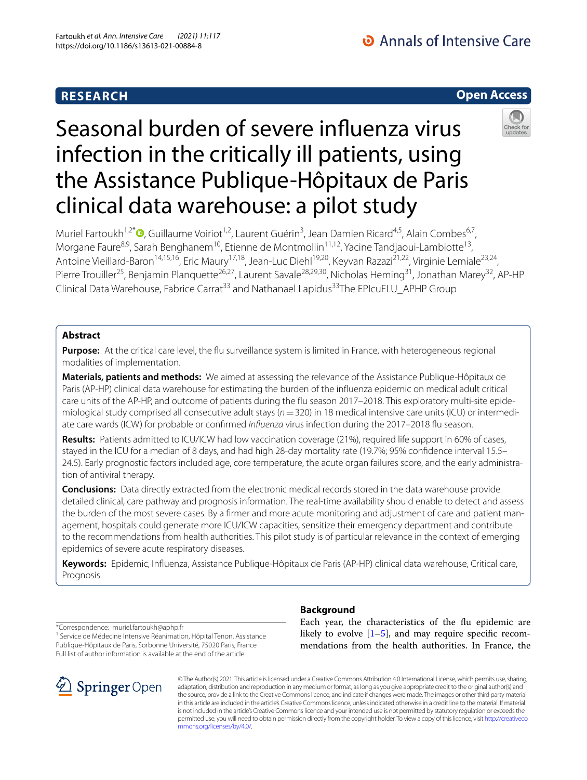# **RESEARCH**

# Seasonal burden of severe infuenza virus infection in the critically ill patients, using the Assistance Publique-Hôpitaux de Paris clinical data warehouse: a pilot study

Muriel Fartoukh<sup>1,2[\\*](http://orcid.org/0000-0001-9506-6309)</sup><sup>®</sup>, Guillaume Voiriot<sup>1,2</sup>, Laurent Guérin<sup>3</sup>, Jean Damien Ricard<sup>4,5</sup>, Alain Combes<sup>6,7</sup>, Morgane Faure<sup>8,9</sup>, Sarah Benghanem<sup>10</sup>, Etienne de Montmollin<sup>11,12</sup>, Yacine Tandjaoui-Lambiotte<sup>13</sup>, Antoine Vieillard-Baron<sup>14,15,16</sup>, Eric Maury<sup>17,18</sup>, Jean-Luc Diehl<sup>19,20</sup>, Keyvan Razazi<sup>21,22</sup>, Virginie Lemiale<sup>23,24</sup>, Pierre Trouiller<sup>25</sup>, Benjamin Planquette<sup>26,27</sup>, Laurent Savale<sup>28,29,30</sup>, Nicholas Heming<sup>31</sup>, Jonathan Marey<sup>32</sup>, AP-HP Clinical Data Warehouse, Fabrice Carrat<sup>33</sup> and Nathanael Lapidus<sup>33</sup>The EPIcuFLU\_APHP Group

### **Abstract**

**Purpose:** At the critical care level, the flu surveillance system is limited in France, with heterogeneous regional modalities of implementation.

**Materials, patients and methods:** We aimed at assessing the relevance of the Assistance Publique-Hôpitaux de Paris (AP-HP) clinical data warehouse for estimating the burden of the infuenza epidemic on medical adult critical care units of the AP-HP, and outcome of patients during the fu season 2017–2018. This exploratory multi-site epidemiological study comprised all consecutive adult stays (*n*=320) in 18 medical intensive care units (ICU) or intermediate care wards (ICW) for probable or confrmed *Infuenza* virus infection during the 2017–2018 fu season.

**Results:** Patients admitted to ICU/ICW had low vaccination coverage (21%), required life support in 60% of cases, stayed in the ICU for a median of 8 days, and had high 28-day mortality rate (19.7%; 95% confdence interval 15.5– 24.5). Early prognostic factors included age, core temperature, the acute organ failures score, and the early administration of antiviral therapy.

**Conclusions:** Data directly extracted from the electronic medical records stored in the data warehouse provide detailed clinical, care pathway and prognosis information. The real-time availability should enable to detect and assess the burden of the most severe cases. By a frmer and more acute monitoring and adjustment of care and patient management, hospitals could generate more ICU/ICW capacities, sensitize their emergency department and contribute to the recommendations from health authorities. This pilot study is of particular relevance in the context of emerging epidemics of severe acute respiratory diseases.

**Keywords:** Epidemic, Infuenza, Assistance Publique-Hôpitaux de Paris (AP-HP) clinical data warehouse, Critical care, Prognosis

\*Correspondence: muriel.fartoukh@aphp.fr

<sup>1</sup> Service de Médecine Intensive Réanimation, Hôpital Tenon, Assistance Publique-Hôpitaux de Paris, Sorbonne Université, 75020 Paris, France Full list of author information is available at the end of the article



#### **Background**

Each year, the characteristics of the fu epidemic are likely to evolve  $[1–5]$ , and may require specific recommendations from the health authorities. In France, the

© The Author(s) 2021. This article is licensed under a Creative Commons Attribution 4.0 International License, which permits use, sharing, adaptation, distribution and reproduction in any medium or format, as long as you give appropriate credit to the original author(s) and the source, provide a link to the Creative Commons licence, and indicate if changes were made. The images or other third party material in this article are included in the article's Creative Commons licence, unless indicated otherwise in a credit line to the material. If material is not included in the article's Creative Commons licence and your intended use is not permitted by statutory regulation or exceeds the permitted use, you will need to obtain permission directly from the copyright holder. To view a copy of this licence, visit [http://creativeco](http://creativecommons.org/licenses/by/4.0/) [mmons.org/licenses/by/4.0/.](http://creativecommons.org/licenses/by/4.0/)



**Open Access**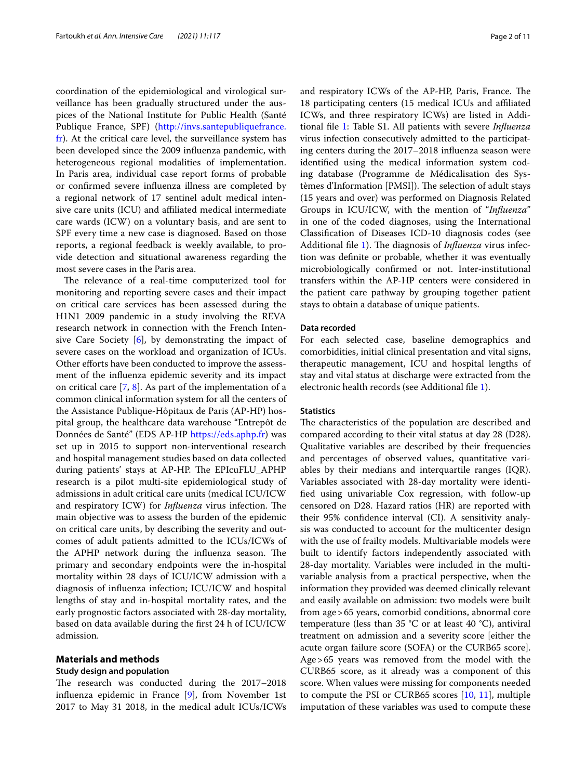coordination of the epidemiological and virological surveillance has been gradually structured under the auspices of the National Institute for Public Health (Santé Publique France, SPF) [\(http://invs.santepubliquefrance.](http://invs.santepubliquefrance.fr) [fr](http://invs.santepubliquefrance.fr)). At the critical care level, the surveillance system has been developed since the 2009 infuenza pandemic, with heterogeneous regional modalities of implementation. In Paris area, individual case report forms of probable or confrmed severe infuenza illness are completed by a regional network of 17 sentinel adult medical intensive care units (ICU) and affiliated medical intermediate care wards (ICW) on a voluntary basis, and are sent to SPF every time a new case is diagnosed. Based on those reports, a regional feedback is weekly available, to provide detection and situational awareness regarding the most severe cases in the Paris area.

The relevance of a real-time computerized tool for monitoring and reporting severe cases and their impact on critical care services has been assessed during the H1N1 2009 pandemic in a study involving the REVA research network in connection with the French Intensive Care Society  $[6]$ , by demonstrating the impact of severe cases on the workload and organization of ICUs. Other efforts have been conducted to improve the assessment of the infuenza epidemic severity and its impact on critical care [7, 8]. As part of the implementation of a common clinical information system for all the centers of the Assistance Publique-Hôpitaux de Paris (AP-HP) hospital group, the healthcare data warehouse "Entrepôt de Données de Santé" (EDS AP-HP <https://eds.aphp.fr>) was set up in 2015 to support non-interventional research and hospital management studies based on data collected during patients' stays at AP-HP. The EPIcuFLU\_APHP research is a pilot multi-site epidemiological study of admissions in adult critical care units (medical ICU/ICW and respiratory ICW) for *Influenza* virus infection. The main objective was to assess the burden of the epidemic on critical care units, by describing the severity and outcomes of adult patients admitted to the ICUs/ICWs of the APHP network during the influenza season. The primary and secondary endpoints were the in-hospital mortality within 28 days of ICU/ICW admission with a diagnosis of infuenza infection; ICU/ICW and hospital lengths of stay and in-hospital mortality rates, and the early prognostic factors associated with 28-day mortality, based on data available during the frst 24 h of ICU/ICW admission.

#### **Materials and methods**

#### **Study design and population**

The research was conducted during the 2017–2018 infuenza epidemic in France [9], from November 1st 2017 to May 31 2018, in the medical adult ICUs/ICWs and respiratory ICWs of the AP-HP, Paris, France. The 18 participating centers (15 medical ICUs and afliated ICWs, and three respiratory ICWs) are listed in Additional fle 1: Table S1. All patients with severe *Infuenza* virus infection consecutively admitted to the participating centers during the 2017–2018 infuenza season were identifed using the medical information system coding database (Programme de Médicalisation des Systèmes d'Information [PMSI]). The selection of adult stays (15 years and over) was performed on Diagnosis Related Groups in ICU/ICW, with the mention of "*Infuenza*" in one of the coded diagnoses, using the International Classifcation of Diseases ICD-10 diagnosis codes (see Additional file 1). The diagnosis of *Influenza* virus infection was defnite or probable, whether it was eventually microbiologically confrmed or not. Inter-institutional transfers within the AP-HP centers were considered in the patient care pathway by grouping together patient stays to obtain a database of unique patients.

#### **Data recorded**

For each selected case, baseline demographics and comorbidities, initial clinical presentation and vital signs, therapeutic management, ICU and hospital lengths of stay and vital status at discharge were extracted from the electronic health records (see Additional fle 1).

#### **Statistics**

The characteristics of the population are described and compared according to their vital status at day 28 (D28). Qualitative variables are described by their frequencies and percentages of observed values, quantitative variables by their medians and interquartile ranges (IQR). Variables associated with 28-day mortality were identifed using univariable Cox regression, with follow-up censored on D28. Hazard ratios (HR) are reported with their 95% confdence interval (CI). A sensitivity analysis was conducted to account for the multicenter design with the use of frailty models. Multivariable models were built to identify factors independently associated with 28-day mortality. Variables were included in the multivariable analysis from a practical perspective, when the information they provided was deemed clinically relevant and easily available on admission: two models were built from age>65 years, comorbid conditions, abnormal core temperature (less than 35 °C or at least 40 °C), antiviral treatment on admission and a severity score [either the acute organ failure score (SOFA) or the CURB65 score]. Age>65 years was removed from the model with the CURB65 score, as it already was a component of this score. When values were missing for components needed to compute the PSI or CURB65 scores [10, 11], multiple imputation of these variables was used to compute these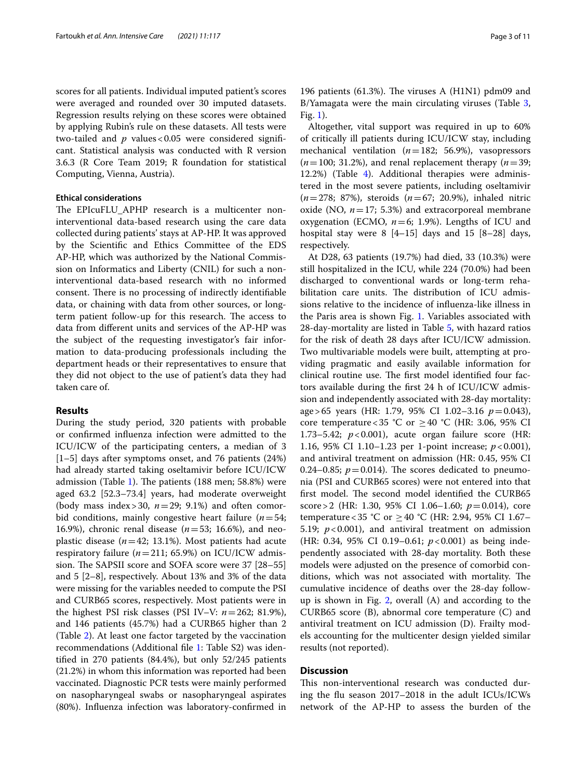scores for all patients. Individual imputed patient's scores were averaged and rounded over 30 imputed datasets. Regression results relying on these scores were obtained by applying Rubin's rule on these datasets. All tests were two-tailed and *p* values<0.05 were considered signifcant. Statistical analysis was conducted with R version 3.6.3 (R Core Team 2019; R foundation for statistical Computing, Vienna, Austria).

#### **Ethical considerations**

The EPIcuFLU\_APHP research is a multicenter noninterventional data-based research using the care data collected during patients' stays at AP-HP. It was approved by the Scientifc and Ethics Committee of the EDS AP-HP, which was authorized by the National Commission on Informatics and Liberty (CNIL) for such a noninterventional data-based research with no informed consent. There is no processing of indirectly identifiable data, or chaining with data from other sources, or longterm patient follow-up for this research. The access to data from diferent units and services of the AP-HP was the subject of the requesting investigator's fair information to data-producing professionals including the department heads or their representatives to ensure that they did not object to the use of patient's data they had taken care of.

#### **Results**

During the study period, 320 patients with probable or confrmed infuenza infection were admitted to the ICU/ICW of the participating centers, a median of 3 [1–5] days after symptoms onset, and 76 patients (24%) had already started taking oseltamivir before ICU/ICW admission (Table 1). The patients  $(188 \text{ men}; 58.8\%)$  were aged 63.2 [52.3–73.4] years, had moderate overweight (body mass index > 30,  $n=29$ ; 9.1%) and often comorbid conditions, mainly congestive heart failure (*n*=54; 16.9%), chronic renal disease (*n*=53; 16.6%), and neoplastic disease (*n*=42; 13.1%). Most patients had acute respiratory failure ( $n=211$ ; 65.9%) on ICU/ICW admission. The SAPSII score and SOFA score were 37 [28-55] and 5 [2–8], respectively. About 13% and 3% of the data were missing for the variables needed to compute the PSI and CURB65 scores, respectively. Most patients were in the highest PSI risk classes (PSI IV–V: *n*=262; 81.9%), and 146 patients (45.7%) had a CURB65 higher than 2 (Table 2). At least one factor targeted by the vaccination recommendations (Additional fle 1: Table S2) was identifed in 270 patients (84.4%), but only 52/245 patients (21.2%) in whom this information was reported had been vaccinated. Diagnostic PCR tests were mainly performed on nasopharyngeal swabs or nasopharyngeal aspirates (80%). Infuenza infection was laboratory-confrmed in

196 patients (61.3%). The viruses A (H1N1) pdm09 and B/Yamagata were the main circulating viruses (Table 3, Fig. 1).

Altogether, vital support was required in up to 60% of critically ill patients during ICU/ICW stay, including mechanical ventilation (*n*=182; 56.9%), vasopressors  $(n=100; 31.2%)$ , and renal replacement therapy  $(n=39;$ 12.2%) (Table 4). Additional therapies were administered in the most severe patients, including oseltamivir (*n*=278; 87%), steroids (*n*=67; 20.9%), inhaled nitric oxide (NO,  $n=17$ ; 5.3%) and extracorporeal membrane oxygenation (ECMO,  $n=6$ ; 1.9%). Lengths of ICU and hospital stay were 8 [4–15] days and 15 [8–28] days, respectively.

At D28, 63 patients (19.7%) had died, 33 (10.3%) were still hospitalized in the ICU, while 224 (70.0%) had been discharged to conventional wards or long-term rehabilitation care units. The distribution of ICU admissions relative to the incidence of infuenza-like illness in the Paris area is shown Fig. 1. Variables associated with 28-day-mortality are listed in Table 5, with hazard ratios for the risk of death 28 days after ICU/ICW admission. Two multivariable models were built, attempting at providing pragmatic and easily available information for clinical routine use. The first model identified four factors available during the frst 24 h of ICU/ICW admission and independently associated with 28-day mortality: age>65 years (HR: 1.79, 95% CI 1.02–3.16 *p*=0.043), core temperature < 35 °C or  $\geq$  40 °C (HR: 3.06, 95% CI 1.73–5.42; *p*<0.001), acute organ failure score (HR: 1.16, 95% CI 1.10–1.23 per 1-point increase; *p*<0.001), and antiviral treatment on admission (HR: 0.45, 95% CI 0.24–0.85;  $p=0.014$ ). The scores dedicated to pneumonia (PSI and CURB65 scores) were not entered into that first model. The second model identified the CURB65 score>2 (HR: 1.30, 95% CI 1.06–1.60; *p*=0.014), core temperature < 35 °C or  $\geq$  40 °C (HR: 2.94, 95% CI 1.67– 5.19; *p*<0.001), and antiviral treatment on admission (HR: 0.34, 95% CI 0.19–0.61; *p*<0.001) as being independently associated with 28-day mortality. Both these models were adjusted on the presence of comorbid conditions, which was not associated with mortality. The cumulative incidence of deaths over the 28-day followup is shown in Fig. 2, overall (A) and according to the CURB65 score (B), abnormal core temperature (C) and antiviral treatment on ICU admission (D). Frailty models accounting for the multicenter design yielded similar results (not reported).

#### **Discussion**

This non-interventional research was conducted during the fu season 2017–2018 in the adult ICUs/ICWs network of the AP-HP to assess the burden of the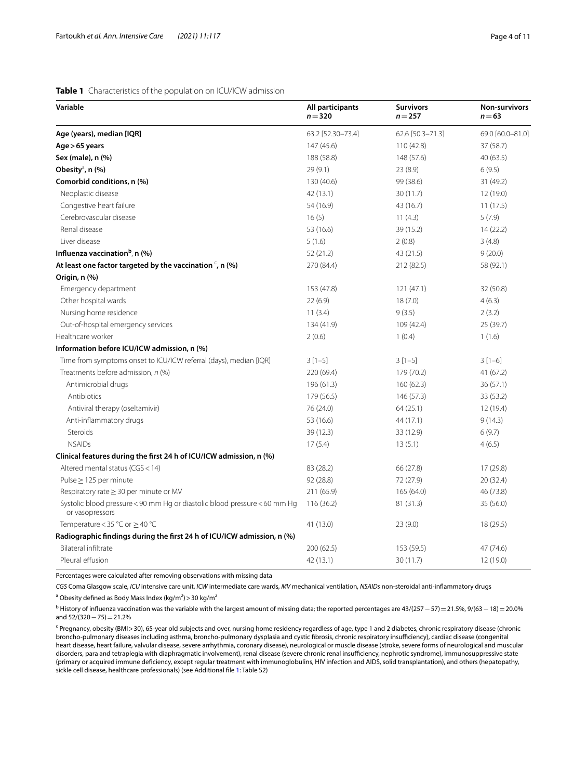#### **Table 1** Characteristics of the population on ICU/ICW admission

| Variable                                                                                     | All participants<br>$n = 320$ | <b>Survivors</b><br>$n = 257$ | Non-survivors<br>$n = 63$ |
|----------------------------------------------------------------------------------------------|-------------------------------|-------------------------------|---------------------------|
| Age (years), median [IQR]                                                                    | 63.2 [52.30-73.4]             | 62.6 [50.3-71.3]              | 69.0 [60.0-81.0]          |
| Age > 65 years                                                                               | 147 (45.6)                    | 110(42.8)                     | 37 (58.7)                 |
| Sex (male), n (%)                                                                            | 188 (58.8)                    | 148 (57.6)                    | 40 (63.5)                 |
| Obesity <sup>a</sup> , n (%)                                                                 | 29(9.1)                       | 23(8.9)                       | 6(9.5)                    |
| Comorbid conditions, n (%)                                                                   | 130 (40.6)                    | 99 (38.6)                     | 31 (49.2)                 |
| Neoplastic disease                                                                           | 42 (13.1)                     | 30(11.7)                      | 12 (19.0)                 |
| Congestive heart failure                                                                     | 54 (16.9)                     | 43 (16.7)                     | 11(17.5)                  |
| Cerebrovascular disease                                                                      | 16(5)                         | 11(4.3)                       | 5(7.9)                    |
| Renal disease                                                                                | 53 (16.6)                     | 39 (15.2)                     | 14(22.2)                  |
| Liver disease                                                                                | 5(1.6)                        | 2(0.8)                        | 3(4.8)                    |
| Influenza vaccination <sup>b</sup> , n (%)                                                   | 52 (21.2)                     | 43 (21.5)                     | 9(20.0)                   |
| At least one factor targeted by the vaccination $\epsilon$ , n (%)                           | 270 (84.4)                    | 212 (82.5)                    | 58 (92.1)                 |
| Origin, n (%)                                                                                |                               |                               |                           |
| Emergency department                                                                         | 153 (47.8)                    | 121(47.1)                     | 32 (50.8)                 |
| Other hospital wards                                                                         | 22(6.9)                       | 18(7.0)                       | 4(6.3)                    |
| Nursing home residence                                                                       | 11(3.4)                       | 9(3.5)                        | 2(3.2)                    |
| Out-of-hospital emergency services                                                           | 134 (41.9)                    | 109 (42.4)                    | 25 (39.7)                 |
| Healthcare worker                                                                            | 2(0.6)                        | 1(0.4)                        | 1(1.6)                    |
| Information before ICU/ICW admission, n (%)                                                  |                               |                               |                           |
| Time from symptoms onset to ICU/ICW referral (days), median [IQR]                            | $3[1-5]$                      | $3[1-5]$                      | $3[1-6]$                  |
| Treatments before admission, n (%)                                                           | 220 (69.4)                    | 179 (70.2)                    | 41 (67.2)                 |
| Antimicrobial drugs                                                                          | 196 (61.3)                    | 160(62.3)                     | 36(57.1)                  |
| Antibiotics                                                                                  | 179 (56.5)                    | 146 (57.3)                    | 33 (53.2)                 |
| Antiviral therapy (oseltamivir)                                                              | 76 (24.0)                     | 64 (25.1)                     | 12 (19.4)                 |
| Anti-inflammatory drugs                                                                      | 53 (16.6)                     | 44 (17.1)                     | 9(14.3)                   |
| Steroids                                                                                     | 39 (12.3)                     | 33 (12.9)                     | 6(9.7)                    |
| <b>NSAIDs</b>                                                                                | 17(5.4)                       | 13(5.1)                       | 4(6.5)                    |
| Clinical features during the first 24 h of ICU/ICW admission, n (%)                          |                               |                               |                           |
| Altered mental status (CGS < 14)                                                             | 83 (28.2)                     | 66 (27.8)                     | 17 (29.8)                 |
| Pulse $\geq$ 125 per minute                                                                  | 92 (28.8)                     | 72 (27.9)                     | 20 (32.4)                 |
| Respiratory rate $\geq$ 30 per minute or MV                                                  | 211 (65.9)                    | 165 (64.0)                    | 46 (73.8)                 |
| Systolic blood pressure < 90 mm Hg or diastolic blood pressure < 60 mm Hg<br>or vasopressors | 116 (36.2)                    | 81 (31.3)                     | 35 (56.0)                 |
| Temperature < 35 °C or $\geq$ 40 °C                                                          | 41 (13.0)                     | 23(9.0)                       | 18 (29.5)                 |
| Radiographic findings during the first 24 h of ICU/ICW admission, n (%)                      |                               |                               |                           |
| Bilateral infiltrate                                                                         | 200 (62.5)                    | 153 (59.5)                    | 47 (74.6)                 |
| Pleural effusion                                                                             | 42 (13.1)                     | 30(11.7)                      | 12 (19.0)                 |

Percentages were calculated after removing observations with missing data

*CGS* Coma Glasgow scale, *ICU* intensive care unit, *ICW* intermediate care wards, *MV* mechanical ventilation, *NSAIDs* non-steroidal anti-infammatory drugs

<sup>a</sup> Obesity defined as Body Mass Index (kg/m<sup>2</sup>) > 30 kg/m<sup>2</sup>

<sup>b</sup> History of influenza vaccination was the variable with the largest amount of missing data; the reported percentages are 43/(257 − 57)=21.5%, 9/(63 − 18)=20.0% and 52/(320−75)=21.2%

<sup>c</sup> Pregnancy, obesity (BMI>30), 65-year old subjects and over, nursing home residency regardless of age, type 1 and 2 diabetes, chronic respiratory disease (chronic broncho-pulmonary diseases including asthma, broncho-pulmonary dysplasia and cystic fibrosis, chronic respiratory insufficiency), cardiac disease (congenital heart disease, heart failure, valvular disease, severe arrhythmia, coronary disease), neurological or muscle disease (stroke, severe forms of neurological and muscular disorders, para and tetraplegia with diaphragmatic involvement), renal disease (severe chronic renal insufficiency, nephrotic syndrome), immunosuppressive state (primary or acquired immune defciency, except regular treatment with immunoglobulins, HIV infection and AIDS, solid transplantation), and others (hepatopathy, sickle cell disease, healthcare professionals) (see Additional fle 1: Table S2)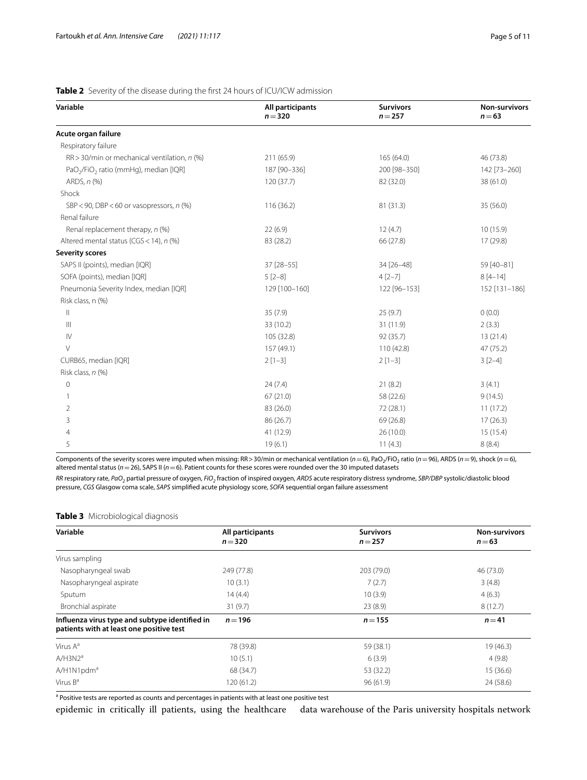#### **Variable All participants** *n*=**320 Survivors** *n*=**257 Non-survivors** *n*=**63 Acute organ failure** Respiratory failure RR > 30/min or mechanical ventilation, *n* (%) 211 (65.9) 165 (64.0) 46 (73.8) 46 (73.8) PaO<sub>2</sub>/FiO<sub>2</sub> ratio (mmHg), median [IQR] 187 [90–336] 200 [98–350] 200 [98–350] 142 [73–260] ARDS, *n* (%) 120 (37.7) 82 (32.0) 38 (61.0) Shock SBP < 90, DBP < 60 or vasopressors, *n* (%) 116 (36.2) 35 (56.0) 81 (31.3) 35 (56.0) Renal failure Renal replacement therapy, *n* (%) 22 (6.9) 12 (4.7) 10 (15.9) Altered mental status (CGS<14), *n* (%) 83 (28.2) 66 (27.8) 17 (29.8) **Severity scores** SAPS II (points), median [IQR] 37 [28–55] 34 [26–48] 59 [40–81] SOFA (points), median [IQR] 8 [4–14] 5 [2–8] 4 [2–7] 8 [4–14] Pneumonia Severity Index, median [IQR] 129 [100–160] 122 [96–153] 152 [131–186] Risk class, n (%)  $35 (7.9)$  25 (9.7) 0 (0.0)  $\frac{33(10.2)}{33}$  31 (11.9) 2 (3.3) IV 105 (32.8) 92 (35.7) 13 (21.4) V 110 (42.8) 47 (75.2) CURB65, median [IQR] 2 [1–3] 2 [1–3] 3 [2–4] Risk class, *n* (%)

#### **Table 2** Severity of the disease during the first 24 hours of ICU/ICW admission

Components of the severity scores were imputed when missing: RR > 30/min or mechanical ventilation (*n* = 6), PaO<sub>2</sub>/FiO<sub>2</sub> ratio (*n* = 96), ARDS (*n* = 9), shock (*n* = 6),  $19(6.1)$  11 (4.3) 8 (8.4)

0 24 (7.4) 21 (8.2) 3 (4.1) 1 67 (21.0) 58 (22.6) 58 (22.6) 9 (14.5) 2 83 (26.0) 72 (28.1) 11 (17.2) 3 86 (26.7) 69 (26.8) 17 (26.3) 4 41 (12.9) 26 (10.0) 15 (15.4)

altered mental status (*n*=26), SAPS II (*n*=6). Patient counts for these scores were rounded over the 30 imputed datasets

*RR* respiratory rate, *PaO2* partial pressure of oxygen, *FiO2* fraction of inspired oxygen, *ARDS* acute respiratory distress syndrome, *SBP/DBP* systolic/diastolic blood pressure, *CGS* Glasgow coma scale, *SAPS* simplifed acute physiology score, *SOFA* sequential organ failure assessment

#### **Table 3** Microbiological diagnosis

| Variable                                                                                   | All participants<br>$n = 320$ | <b>Survivors</b><br>$n = 257$ | <b>Non-survivors</b><br>$n = 63$ |  |
|--------------------------------------------------------------------------------------------|-------------------------------|-------------------------------|----------------------------------|--|
| Virus sampling                                                                             |                               |                               |                                  |  |
| Nasopharyngeal swab                                                                        | 249 (77.8)                    | 203 (79.0)                    | 46 (73.0)                        |  |
| Nasopharyngeal aspirate                                                                    | 10(3.1)                       | 7(2.7)                        | 3(4.8)                           |  |
| Sputum                                                                                     | 14(4.4)                       | 10(3.9)                       | 4(6.3)                           |  |
| Bronchial aspirate                                                                         | 31(9.7)                       | 23(8.9)                       | 8(12.7)                          |  |
| Influenza virus type and subtype identified in<br>patients with at least one positive test | $n = 196$                     | $n = 155$                     | $n = 41$                         |  |
| Virus A <sup>a</sup>                                                                       | 78 (39.8)                     | 59 (38.1)                     | 19 (46.3)                        |  |
| A/H3N2 <sup>a</sup>                                                                        | 10(5.1)                       | 6(3.9)                        | 4(9.8)                           |  |
| A/H1N1pdm <sup>a</sup>                                                                     | 68 (34.7)                     | 53 (32.2)                     | 15 (36.6)                        |  |
| Virus $B^a$                                                                                | 120 (61.2)                    | 96(61.9)                      | 24 (58.6)                        |  |

<sup>a</sup> Positive tests are reported as counts and percentages in patients with at least one positive test

epidemic in critically ill patients, using the healthcare data warehouse of the Paris university hospitals network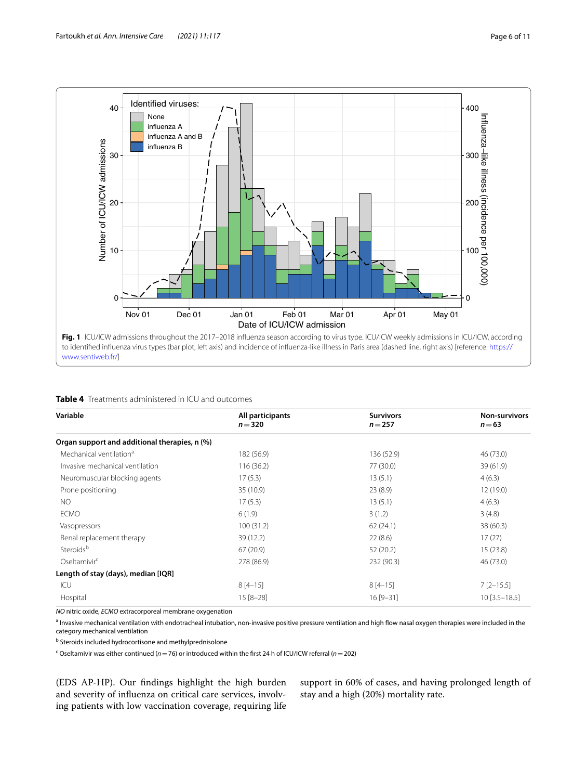

| Variable                                      | All participants<br>$n = 320$ | <b>Survivors</b><br>$n = 257$ | <b>Non-survivors</b><br>$n = 63$ |
|-----------------------------------------------|-------------------------------|-------------------------------|----------------------------------|
|                                               |                               |                               |                                  |
| Organ support and additional therapies, n (%) |                               |                               |                                  |
| Mechanical ventilation <sup>a</sup>           | 182 (56.9)                    | 136 (52.9)                    | 46 (73.0)                        |
| Invasive mechanical ventilation               | 116(36.2)                     | 77 (30.0)                     | 39 (61.9)                        |
| Neuromuscular blocking agents                 | 17(5.3)                       | 13(5.1)                       | 4(6.3)                           |
| Prone positioning                             | 35 (10.9)                     | 23(8.9)                       | 12 (19.0)                        |
| <b>NO</b>                                     | 17(5.3)                       | 13(5.1)                       | 4(6.3)                           |
| <b>ECMO</b>                                   | 6(1.9)                        | 3(1.2)                        | 3(4.8)                           |
| Vasopressors                                  | 100(31.2)                     | 62(24.1)                      | 38 (60.3)                        |
| Renal replacement therapy                     | 39 (12.2)                     | 22(8.6)                       | 17(27)                           |
| Steroids <sup>b</sup>                         | 67(20.9)                      | 52 (20.2)                     | 15(23.8)                         |
| Oseltamivir <sup>c</sup>                      | 278 (86.9)                    | 232 (90.3)                    | 46 (73.0)                        |
| Length of stay (days), median [IQR]           |                               |                               |                                  |
| ICU                                           | $8[4-15]$                     | $8[4-15]$                     | $7$ [2-15.5]                     |
| Hospital                                      | $15 [8 - 28]$                 | $16[9-31]$                    | $10$ [3.5-18.5]                  |

*NO* nitric oxide, *ECMO* extracorporeal membrane oxygenation

<sup>a</sup> Invasive mechanical ventilation with endotracheal intubation, non-invasive positive pressure ventilation and high flow nasal oxygen therapies were included in the category mechanical ventilation

**b** Steroids included hydrocortisone and methylprednisolone

c Oseltamivir was either continued (*n*=76) or introduced within the frst 24 h of ICU/ICW referral (*n*=202)

(EDS AP-HP). Our fndings highlight the high burden and severity of infuenza on critical care services, involving patients with low vaccination coverage, requiring life

support in 60% of cases, and having prolonged length of stay and a high (20%) mortality rate.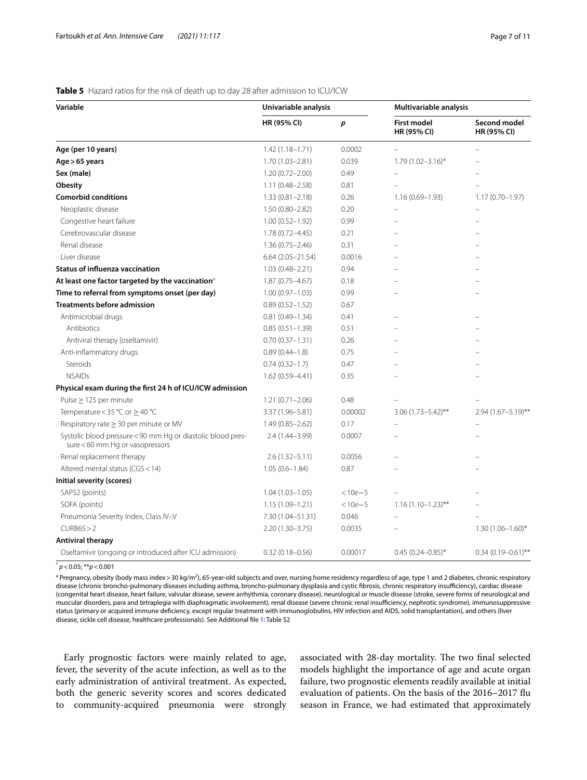#### **Table 5** Hazard ratios for the risk of death up to day 28 after admission to ICU/ICW

| Variable                                                                                       | Univariable analysis |             | Multivariable analysis     |                             |
|------------------------------------------------------------------------------------------------|----------------------|-------------|----------------------------|-----------------------------|
|                                                                                                | HR (95% CI)          | p           | First model<br>HR (95% CI) | Second model<br>HR (95% CI) |
| Age (per 10 years)                                                                             | $1.42(1.18 - 1.71)$  | 0.0002      |                            | $\overline{\phantom{0}}$    |
| Age > 65 years                                                                                 | $1.70(1.03 - 2.81)$  | 0.039       | $1.79(1.02 - 3.16)^{*}$    |                             |
| Sex (male)                                                                                     | $1.20(0.72 - 2.00)$  | 0.49        |                            |                             |
| Obesity                                                                                        | $1.11(0.48 - 2.58)$  | 0.81        |                            |                             |
| <b>Comorbid conditions</b>                                                                     | $1.33(0.81 - 2.18)$  | 0.26        | $1.16(0.69 - 1.93)$        | $1.17(0.70 - 1.97)$         |
| Neoplastic disease                                                                             | $1.50(0.80 - 2.82)$  | 0.20        |                            |                             |
| Congestive heart failure                                                                       | $1.00(0.52 - 1.92)$  | 0.99        |                            |                             |
| Cerebrovascular disease                                                                        | $1.78(0.72 - 4.45)$  | 0.21        |                            |                             |
| Renal disease                                                                                  | $1.36(0.75 - 2.46)$  | 0.31        |                            |                             |
| Liver disease                                                                                  | $6.64(2.05 - 21.54)$ | 0.0016      |                            |                             |
| <b>Status of influenza vaccination</b>                                                         | $1.03(0.48 - 2.21)$  | 0.94        |                            |                             |
| At least one factor targeted by the vaccination <sup>3</sup>                                   | $1.87(0.75 - 4.67)$  | 0.18        |                            |                             |
| Time to referral from symptoms onset (per day)                                                 | $1.00(0.97 - 1.03)$  | 0.99        |                            |                             |
| <b>Treatments before admission</b>                                                             | $0.89(0.52 - 1.52)$  | 0.67        |                            |                             |
| Antimicrobial drugs                                                                            | $0.81(0.49 - 1.34)$  | 0.41        |                            |                             |
| Antibiotics                                                                                    | $0.85(0.51 - 1.39)$  | 0.51        |                            |                             |
| Antiviral therapy (oseltamivir)                                                                | $0.70(0.37 - 1.31)$  | 0.26        |                            |                             |
| Anti-inflammatory drugs                                                                        | $0.89(0.44 - 1.8)$   | 0.75        |                            |                             |
| Steroids                                                                                       | $0.74(0.32 - 1.7)$   | 0.47        |                            |                             |
| <b>NSAIDs</b>                                                                                  | 1.62 (0.59-4.41)     | 0.35        |                            |                             |
| Physical exam during the first 24 h of ICU/ICW admission                                       |                      |             |                            |                             |
| Pulse $\geq$ 125 per minute                                                                    | $1.21(0.71 - 2.06)$  | 0.48        |                            |                             |
| Temperature < 35 °C or $\geq$ 40 °C                                                            | 3.37 (1.96-5.81)     | 0.00002     | $3.06(1.73 - 5.42)$ **     | $2.94(1.67 - 5.19)$ **      |
| Respiratory rate $\geq$ 30 per minute or MV                                                    | $1.49(0.85 - 2.62)$  | 0.17        |                            |                             |
| Systolic blood pressure < 90 mm Hg or diastolic blood pres-<br>sure < 60 mm Hg or vasopressors | 2.4 (1.44-3.99)      | 0.0007      |                            |                             |
| Renal replacement therapy                                                                      | $2.6(1.32 - 5.11)$   | 0.0056      |                            |                             |
| Altered mental status (CGS < 14)                                                               | $1.05(0.6 - 1.84)$   | 0.87        |                            |                             |
| Initial severity (scores)                                                                      |                      |             |                            |                             |
| SAPS2 (points)                                                                                 | $1.04(1.03 - 1.05)$  | $< 10e - 5$ |                            |                             |
| SOFA (points)                                                                                  | $1.15(1.09 - 1.21)$  | $< 10e - 5$ | $1.16(1.10-1.23)$ **       |                             |
| Pneumonia Severity Index, Class IV-V                                                           | 7.30 (1.04-51.31)    | 0.046       |                            |                             |
| CURB65 > 2                                                                                     | $2.20(1.30 - 3.75)$  | 0.0035      |                            | $1.30(1.06 - 1.60)^*$       |
| <b>Antiviral therapy</b>                                                                       |                      |             |                            |                             |
| Oseltamivir (ongoing or introduced after ICU admission)                                        | $0.32(0.18 - 0.56)$  | 0.00017     | $0.45(0.24 - 0.85)^*$      | $0.34(0.19 - 0.61)$ **      |
|                                                                                                |                      |             |                            |                             |

\* *p*<0.05; \*\**p*<0.001

<sup>a</sup> Pregnancy, obesity (body mass index > 30 kg/m<sup>2</sup>), 65-year-old subjects and over, nursing home residency regardless of age, type 1 and 2 diabetes, chronic respiratory disease (chronic broncho-pulmonary diseases including asthma, broncho-pulmonary dysplasia and cystic fibrosis, chronic respiratory insufficiency), cardiac disease (congenital heart disease, heart failure, valvular disease, severe arrhythmia, coronary disease), neurological or muscle disease (stroke, severe forms of neurological and muscular disorders, para and tetraplegia with diaphragmatic involvement), renal disease (severe chronic renal insufficiency, nephrotic syndrome), immunosuppressive status (primary or acquired immune defciency, except regular treatment with immunoglobulins, HIV infection and AIDS, solid transplantation), and others (liver disease, sickle cell disease, healthcare professionals). See Additional fle 1: Table S2

Early prognostic factors were mainly related to age, fever, the severity of the acute infection, as well as to the early administration of antiviral treatment. As expected, both the generic severity scores and scores dedicated to community-acquired pneumonia were strongly associated with 28-day mortality. The two final selected models highlight the importance of age and acute organ failure, two prognostic elements readily available at initial evaluation of patients. On the basis of the 2016–2017 fu season in France, we had estimated that approximately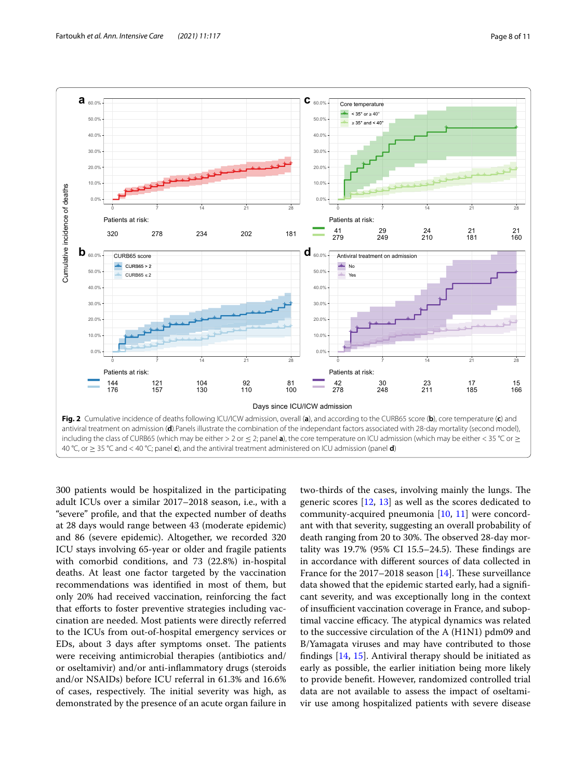

300 patients would be hospitalized in the participating adult ICUs over a similar 2017–2018 season, i.e., with a "severe" profle, and that the expected number of deaths at 28 days would range between 43 (moderate epidemic) and 86 (severe epidemic). Altogether, we recorded 320 ICU stays involving 65-year or older and fragile patients with comorbid conditions, and 73 (22.8%) in-hospital deaths. At least one factor targeted by the vaccination recommendations was identifed in most of them, but only 20% had received vaccination, reinforcing the fact that efforts to foster preventive strategies including vaccination are needed. Most patients were directly referred to the ICUs from out-of-hospital emergency services or EDs, about 3 days after symptoms onset. The patients were receiving antimicrobial therapies (antibiotics and/ or oseltamivir) and/or anti-infammatory drugs (steroids and/or NSAIDs) before ICU referral in 61.3% and 16.6% of cases, respectively. The initial severity was high, as demonstrated by the presence of an acute organ failure in two-thirds of the cases, involving mainly the lungs. The generic scores [12, 13] as well as the scores dedicated to community-acquired pneumonia  $[10, 11]$  were concordant with that severity, suggesting an overall probability of death ranging from 20 to 30%. The observed 28-day mortality was  $19.7\%$  (95% CI 15.5–24.5). These findings are in accordance with diferent sources of data collected in France for the  $2017-2018$  season [14]. These surveillance data showed that the epidemic started early, had a signifcant severity, and was exceptionally long in the context of insufficient vaccination coverage in France, and suboptimal vaccine efficacy. The atypical dynamics was related to the successive circulation of the A (H1N1) pdm09 and B/Yamagata viruses and may have contributed to those fndings [14, 15]. Antiviral therapy should be initiated as early as possible, the earlier initiation being more likely to provide beneft. However, randomized controlled trial data are not available to assess the impact of oseltamivir use among hospitalized patients with severe disease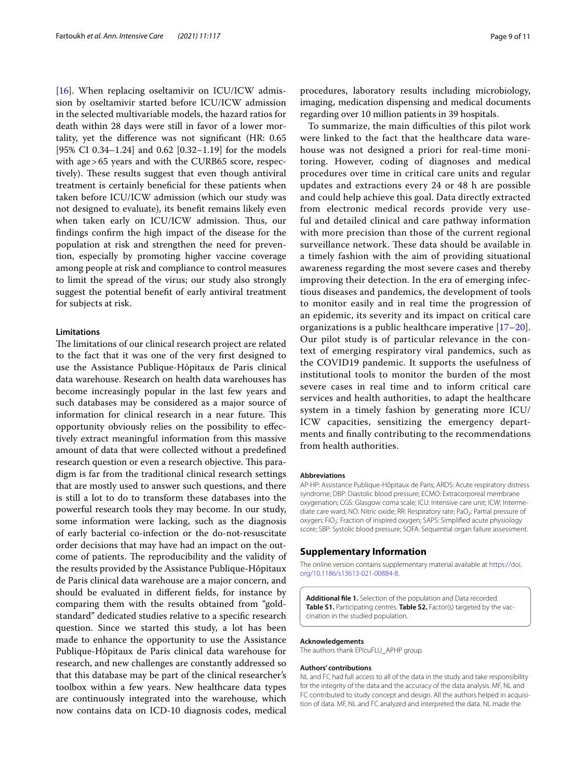[16]. When replacing oseltamivir on ICU/ICW admission by oseltamivir started before ICU/ICW admission in the selected multivariable models, the hazard ratios for death within 28 days were still in favor of a lower mortality, yet the diference was not signifcant (HR: 0.65 [95% CI 0.34–1.24] and 0.62 [0.32–1.19] for the models with age>65 years and with the CURB65 score, respectively). These results suggest that even though antiviral treatment is certainly benefcial for these patients when taken before ICU/ICW admission (which our study was not designed to evaluate), its beneft remains likely even when taken early on ICU/ICW admission. Thus, our fndings confrm the high impact of the disease for the population at risk and strengthen the need for prevention, especially by promoting higher vaccine coverage among people at risk and compliance to control measures to limit the spread of the virus; our study also strongly suggest the potential beneft of early antiviral treatment for subjects at risk.

#### **Limitations**

The limitations of our clinical research project are related to the fact that it was one of the very frst designed to use the Assistance Publique-Hôpitaux de Paris clinical data warehouse. Research on health data warehouses has become increasingly popular in the last few years and such databases may be considered as a major source of information for clinical research in a near future. This opportunity obviously relies on the possibility to efectively extract meaningful information from this massive amount of data that were collected without a predefned research question or even a research objective. This paradigm is far from the traditional clinical research settings that are mostly used to answer such questions, and there is still a lot to do to transform these databases into the powerful research tools they may become. In our study, some information were lacking, such as the diagnosis of early bacterial co-infection or the do-not-resuscitate order decisions that may have had an impact on the outcome of patients. The reproducibility and the validity of the results provided by the Assistance Publique-Hôpitaux de Paris clinical data warehouse are a major concern, and should be evaluated in diferent felds, for instance by comparing them with the results obtained from "goldstandard" dedicated studies relative to a specifc research question. Since we started this study, a lot has been made to enhance the opportunity to use the Assistance Publique-Hôpitaux de Paris clinical data warehouse for research, and new challenges are constantly addressed so that this database may be part of the clinical researcher's toolbox within a few years. New healthcare data types are continuously integrated into the warehouse, which now contains data on ICD-10 diagnosis codes, medical

procedures, laboratory results including microbiology, imaging, medication dispensing and medical documents regarding over 10 million patients in 39 hospitals.

To summarize, the main difculties of this pilot work were linked to the fact that the healthcare data warehouse was not designed a priori for real-time monitoring. However, coding of diagnoses and medical procedures over time in critical care units and regular updates and extractions every 24 or 48 h are possible and could help achieve this goal. Data directly extracted from electronic medical records provide very useful and detailed clinical and care pathway information with more precision than those of the current regional surveillance network. These data should be available in a timely fashion with the aim of providing situational awareness regarding the most severe cases and thereby improving their detection. In the era of emerging infectious diseases and pandemics, the development of tools to monitor easily and in real time the progression of an epidemic, its severity and its impact on critical care organizations is a public healthcare imperative [17–20]. Our pilot study is of particular relevance in the context of emerging respiratory viral pandemics, such as the COVID19 pandemic. It supports the usefulness of institutional tools to monitor the burden of the most severe cases in real time and to inform critical care services and health authorities, to adapt the healthcare system in a timely fashion by generating more ICU/ ICW capacities, sensitizing the emergency departments and fnally contributing to the recommendations from health authorities.

#### **Abbreviations**

AP-HP: Assistance Publique-Hôpitaux de Paris; ARDS: Acute respiratory distress syndrome; DBP: Diastolic blood pressure; ECMO: Extracorporeal membrane oxygenation; CGS: Glasgow coma scale; ICU: Intensive care unit; ICW: Intermediate care ward; NO: Nitric oxide; RR: Respiratory rate; PaO<sub>2</sub>: Partial pressure of oxygen; FiO<sub>2</sub>: Fraction of inspired oxygen; SAPS: Simplified acute physiology score; SBP: Systolic blood pressure; SOFA: Sequential organ failure assessment.

#### **Supplementary Information**

The online version contains supplementary material available at [https://doi.](https://doi.org/10.1186/s13613-021-00884-8) [org/10.1186/s13613-021-00884-8](https://doi.org/10.1186/s13613-021-00884-8).

**Additional fle 1.** Selection of the population and Data recorded. **Table S1.** Participating centres. **Table S2.** Factor(s) targeted by the vaccination in the studied population.

#### **Acknowledgements**

The authors thank EPIcuFLU\_APHP group.

#### **Authors' contributions**

NL and FC had full access to all of the data in the study and take responsibility for the integrity of the data and the accuracy of the data analysis. MF, NL and FC contributed to study concept and design. All the authors helped in acquisition of data. MF, NL and FC analyzed and interpreted the data. NL made the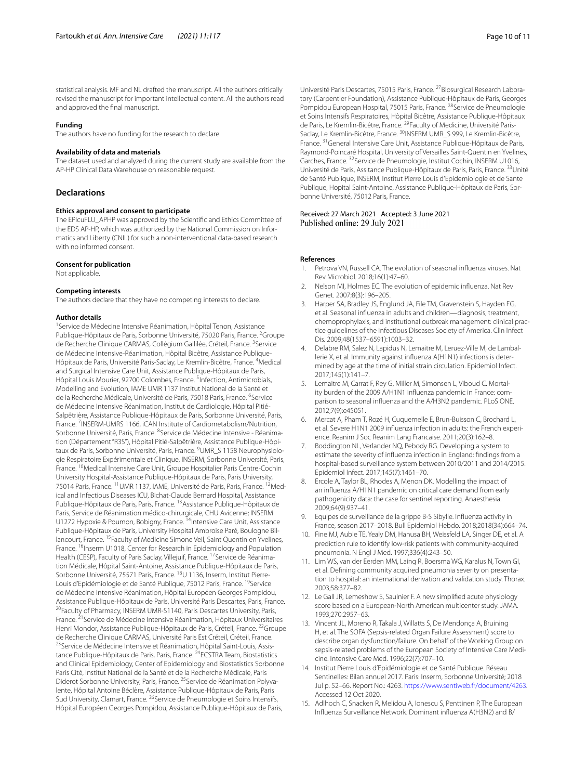statistical analysis. MF and NL drafted the manuscript. All the authors critically revised the manuscript for important intellectual content. All the authors read and approved the fnal manuscript.

#### **Funding**

The authors have no funding for the research to declare.

#### **Availability of data and materials**

The dataset used and analyzed during the current study are available from the AP-HP Clinical Data Warehouse on reasonable request.

#### **Declarations**

#### **Ethics approval and consent to participate**

The EPIcuFLU\_APHP was approved by the Scientifc and Ethics Committee of the EDS AP-HP, which was authorized by the National Commission on Informatics and Liberty (CNIL) for such a non-interventional data-based research with no informed consent.

#### **Consent for publication**

Not applicable.

#### **Competing interests**

The authors declare that they have no competing interests to declare.

#### **Author details**

<sup>1</sup> Service de Médecine Intensive Réanimation, Hôpital Tenon, Assistance Publique-Hôpitaux de Paris, Sorbonne Université, 75020 Paris, France. <sup>2</sup>Groupe de Recherche Clinique CARMAS, Collégium Gallilée, Créteil, France. <sup>3</sup>Service de Médecine Intensive-Réanimation, Hôpital Bicêtre, Assistance Publique-Hôpitaux de Paris, Université Paris-Saclay, Le Kremlin-Bicêtre, France. <sup>4</sup>Medical and Surgical Intensive Care Unit, Assistance Publique-Hôpitaux de Paris, Hôpital Louis Mourier, 92700 Colombes, France. <sup>5</sup>Infection, Antimicrobials, Modelling and Evolution, IAME UMR 1137 Institut National de la Santé et de la Recherche Médicale, Université de Paris, 75018 Paris, France. <sup>6</sup>Service de Médecine Intensive Réanimation, Institut de Cardiologie, Hôpital Pitié-Salpêtrière, Assistance Publique-Hôpitaux de Paris, Sorbonne Université, Paris, France.<sup>7</sup> INSERM-UMRS 1166, iCAN Institute of Cardiometabolism/Nutrition, Sorbonne Université, Paris, France. <sup>8</sup>Service de Médecine Intensive - Réanimation (Département "R3S"), Hôpital Pitié-Salpêtrière, Assistance Publique-Hôpitaux de Paris, Sorbonne Université, Paris, France. <sup>9</sup>UMR\_S 1158 Neurophysiologie Respiratoire Expérimentale et Clinique, INSERM, Sorbonne Université, Paris, France. <sup>10</sup>Medical Intensive Care Unit, Groupe Hospitalier Paris Centre-Cochin University Hospital-Assistance Publique-Hôpitaux de Paris, Paris University, 75014 Paris, France. <sup>11</sup> UMR 1137, IAME, Université de Paris, Paris, France. <sup>12</sup>Medical and Infectious Diseases ICU, Bichat-Claude Bernard Hospital, Assistance Publique-Hôpitaux de Paris, Paris, France. <sup>13</sup>Assistance Publique-Hôpitaux de Paris, Service de Réanimation médico-chirurgicale, CHU Avicenne; INSERM U1272 Hypoxie & Poumon, Bobigny, France. <sup>14</sup>Intensive Care Unit, Assistance Publique-Hôpitaux de Paris, University Hospital Ambroise Paré, Boulogne Billancourt, France. <sup>15</sup>Faculty of Medicine Simone Veil, Saint Quentin en Yvelines, France. <sup>16</sup>Inserm U1018, Center for Research in Epidemiology and Population Health (CESP), Faculty of Paris Saclay, Villejuif, France. <sup>17</sup>Service de Réanimation Médicale, Hôpital Saint-Antoine, Assistance Publique-Hôpitaux de Paris, Sorbonne Université, 75571 Paris, France. 18U 1136, Inserm, Institut Pierre-Louis d'Epidémiologie et de Santé Publique, 75012 Paris, France. <sup>19</sup>Service de Médecine Intensive Réanimation, Hôpital Européen Georges Pompidou, Assistance Publique-Hôpitaux de Paris, Université Paris Descartes, Paris, France. <sup>20</sup>Faculty of Pharmacy, INSERM UMR-S1140, Paris Descartes University, Paris, France.<sup>21</sup>Service de Médecine Intensive Réanimation, Hôpitaux Universitaires Henri Mondor, Assistance Publique-Hôpitaux de Paris, Créteil, France. <sup>22</sup>Groupe de Recherche Clinique CARMAS, Université Paris Est Créteil, Créteil, France. <sup>23</sup> Service de Médecine Intensive et Réanimation, Hôpital Saint-Louis, Assistance Publique-Hôpitaux de Paris, Paris, France. 24ECSTRA Team, Biostatistics and Clinical Epidemiology, Center of Epidemiology and Biostatistics Sorbonne Paris Cité, Institut National de la Santé et de la Recherche Médicale, Paris Diderot Sorbonne University, Paris, France. <sup>25</sup> Service de Réanimation Polyvalente, Hôpital Antoine Béclère, Assistance Publique-Hôpitaux de Paris, Paris Sud University, Clamart, France. <sup>26</sup>Service de Pneumologie et Soins Intensifs, Hôpital Européen Georges Pompidou, Assistance Publique-Hôpitaux de Paris,

Université Paris Descartes, 75015 Paris, France. <sup>27</sup>Biosurgical Research Laboratory (Carpentier Foundation), Assistance Publique-Hôpitaux de Paris, Georges Pompidou European Hospital, 75015 Paris, France. <sup>28</sup>Service de Pneumologie et Soins Intensifs Respiratoires, Hôpital Bicêtre, Assistance Publique-Hôpitaux de Paris, Le Kremlin-Bicêtre, France. <sup>29</sup> Faculty of Medicine, Université Paris-Saclay, Le Kremlin-Bicêtre, France. <sup>30</sup>INSERM UMR\_S 999, Le Kremlin-Bicêtre, France. 31General Intensive Care Unit, Assistance Publique-Hôpitaux de Paris, Raymond-Poincaré Hospital, University of Versailles Saint-Quentin en Yvelines, Garches, France. 32Service de Pneumologie, Institut Cochin, INSERM U1016, Université de Paris, Assitance Publique-Hôpitaux de Paris, Paris, France. 33Unité de Santé Publique, INSERM, Institut Pierre Louis d'Epidemiologie et de Sante Publique, Hopital Saint-Antoine, Assistance Publique-Hôpitaux de Paris, Sorbonne Université, 75012 Paris, France.

Received: 27 March 2021 Accepted: 3 June 2021 Published online: 29 July 2021

#### **References**

- 1. Petrova VN, Russell CA. The evolution of seasonal infuenza viruses. Nat Rev Microbiol. 2018;16(1):47–60.
- 2. Nelson MI, Holmes EC. The evolution of epidemic infuenza. Nat Rev Genet. 2007;8(3):196–205.
- 3. Harper SA, Bradley JS, Englund JA, File TM, Gravenstein S, Hayden FG, et al. Seasonal infuenza in adults and children—diagnosis, treatment, chemoprophylaxis, and institutional outbreak management: clinical practice guidelines of the Infectious Diseases Society of America. Clin Infect Dis. 2009;48(1537–6591):1003–32.
- 4. Delabre RM, Salez N, Lapidus N, Lemaitre M, Leruez-Ville M, de Lamballerie X, et al. Immunity against infuenza A(H1N1) infections is determined by age at the time of initial strain circulation. Epidemiol Infect. 2017;145(1):141–7.
- 5. Lemaitre M, Carrat F, Rey G, Miller M, Simonsen L, Viboud C. Mortality burden of the 2009 A/H1N1 infuenza pandemic in France: comparison to seasonal infuenza and the A/H3N2 pandemic. PLoS ONE. 2012;7(9):e45051.
- 6. Mercat A, Pham T, Rozé H, Cuquemelle E, Brun-Buisson C, Brochard L, et al. Severe H1N1 2009 infuenza infection in adults: the French experience. Reanim J Soc Reanim Lang Francaise. 2011;20(3):162–8.
- 7. Boddington NL, Verlander NQ, Pebody RG. Developing a system to estimate the severity of infuenza infection in England: fndings from a hospital-based surveillance system between 2010/2011 and 2014/2015. Epidemiol Infect. 2017;145(7):1461–70.
- 8. Ercole A, Taylor BL, Rhodes A, Menon DK. Modelling the impact of an infuenza A/H1N1 pandemic on critical care demand from early pathogenicity data: the case for sentinel reporting. Anaesthesia. 2009;64(9):937–41.
- 9. Equipes de surveillance de la grippe B-S Sibylle. Infuenza activity in France, season 2017–2018. Bull Epidemiol Hebdo. 2018;2018(34):664–74.
- 10. Fine MJ, Auble TE, Yealy DM, Hanusa BH, Weissfeld LA, Singer DE, et al. A prediction rule to identify low-risk patients with community-acquired pneumonia. N Engl J Med. 1997;336(4):243–50.
- 11. Lim WS, van der Eerden MM, Laing R, Boersma WG, Karalus N, Town GI, et al. Defning community acquired pneumonia severity on presentation to hospital: an international derivation and validation study. Thorax. 2003;58:377–82.
- 12. Le Gall JR, Lemeshow S, Saulnier F. A new simplifed acute physiology score based on a European-North American multicenter study. JAMA. 1993;270:2957–63.
- 13. Vincent JL, Moreno R, Takala J, Willatts S, De Mendonça A, Bruining H, et al. The SOFA (Sepsis-related Organ Failure Assessment) score to describe organ dysfunction/failure. On behalf of the Working Group on sepsis-related problems of the European Society of Intensive Care Medicine. Intensive Care Med. 1996;22(7):707–10.
- 14. Institut Pierre Louis d'Epidémiologie et de Santé Publique. Réseau Sentinelles: Bilan annuel 2017. Paris: Inserm, Sorbonne Université; 2018 Jul p. 52–66. Report No.: 4263.<https://www.sentiweb.fr/document/4263>. Accessed 12 Oct 2020.
- 15. Adlhoch C, Snacken R, Melidou A, Ionescu S, Penttinen P, The European Infuenza Surveillance Network. Dominant infuenza A(H3N2) and B/